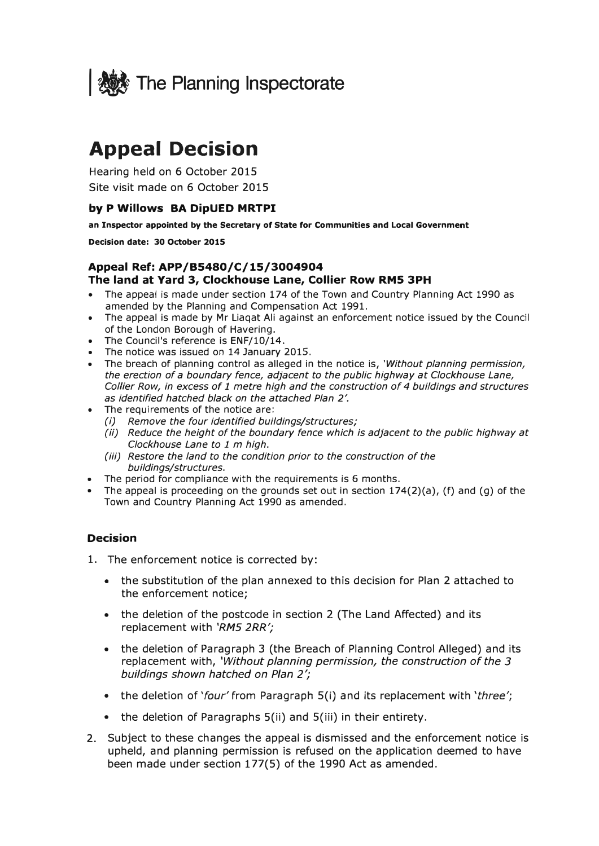

## **Appeal Decision**

Hearing held on 6 October 2015 Site visit made on 6 October 2015

#### **by P Willows BA DipUED MRTPI**

**an Inspector appointed by the Secretary of State for Communities and Local Government** 

**Decision date: 30 October 2015** 

#### **AppealRef:APP/B5480/C/15/3004904 The land at Yard 3, Clockhouse Lane, Collier Row RMS 3PH**

- The appeal is made under section 174 of the Town and Country Planning Act 1990 as amended by the Planning and Compensation Act 1991.
- The appeal is made by Mr Liaqat Ali against an enforcement notice issued by the Council of the London Borough of Havering.
- The Council's reference is ENF/10/14.
- The notice was issued on 14 January 2015.
- The breach of planning control as alleged in the notice is, *'Without planning permission, the erection of a boundary fence, adjacent to the public highway at Clockhouse Lane, Collier Row, in excess of 1 metre high and the construction of 4 buildings and structures as identified hatched black on the attached Plan* 2'.
- The requirements of the notice are:
	- *(i) Remove the four identified buildings/structures;*
	- *(ii) Reduce the height of the boundary fence which is adjacent to the public highway at Clockhouse Lane to 1* m *high.*
	- *(iii) Restore the land to the condition prior to the construction of the buildings/structures.*
- The period for compliance with the requirements is 6 months.
- The appeal is proceeding on the grounds set out in section  $174(2)(a)$ , (f) and (q) of the Town and Country Planning Act 1990 as amended.

#### **Decision**

- 1. The enforcement notice is corrected by:
	- the substitution of the plan annexed to this decision for Plan 2 attached to the enforcement notice;
	- the deletion of the postcode in section 2 (The Land Affected) and its replacement with *'RM5 2RR';*
	- the deletion of Paragraph 3 (the Breach of Planning Control Alleged) and its replacement with, *'Without planning permission, the construction of the 3 buildings shown hatched on Plan 2';*
	- the deletion of *'four'* from Paragraph 5(i) and its replacement with *'three';*
	- the deletion of Paragraphs S(ii) and 5(iii) in their entirety.
- 2. Subject to these changes the appeal is dismissed and the enforcement notice is upheld, and planning permission is refused on the application deemed to have been made under section 177(5) of the 1990 Act as amended.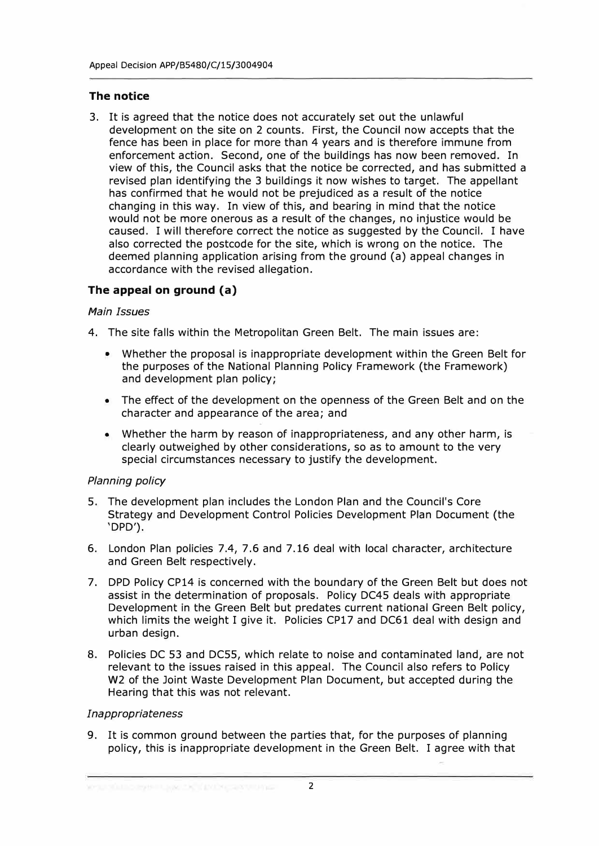#### **The notice**

3. It is agreed that the notice does not accurately set out the unlawful development on the site on 2 counts. First, the Council now accepts that the fence has been in place for more than 4 years and is therefore immune from enforcement action. Second, one of the buildings has now been removed. In view of this, the Council asks that the notice be corrected, and has submitted a revised plan identifying the 3 buildings it now wishes to target. The appellant has confirmed that he would not be prejudiced as a result of the notice changing in this way. In view of this, and bearing in mind that the notice would not be more onerous as a result of the changes, no injustice would be caused. I will therefore correct the notice as suggested by the Council. I have also corrected the postcode for the site, which is wrong on the notice. The deemed planning application arising from the ground (a) appeal changes in accordance with the revised allegation.

#### **The appeal on ground (a)**

#### *Main Issues*

- 4. The site falls within the Metropolitan Green Belt. The main issues are:
	- Whether the proposal is inappropriate development within the Green Belt for the purposes of the National Planning Policy Framework (the Framework) and development plan policy;
	- The effect of the development on the openness of the Green Belt and on the character and appearance of the area; and
	- Whether the harm by reason of inappropriateness, and any other harm, is clearly outweighed by other considerations, so as to amount to the very special circumstances necessary to justify the development.

#### *Planning policy*

- 5. The development plan includes the London Plan and the Council's Core Strategy and Development Control Policies Development Plan Document (the 'DPD').
- 6. London Plan policies 7.4, 7 .6 and 7 .16 deal with local character, architecture and Green Belt respectively.
- 7. DPD Policy CP14 is concerned with the boundary of the Green Belt but does not assist in the determination of proposals. Policy DC45 deals with appropriate Development in the Green Belt but predates current national Green Belt policy, which limits the weight I give it. Policies CP17 and DC61 deal with design and urban design.
- 8. Policies DC 53 and DC55, which relate to noise and contaminated land, are not relevant to the issues raised in this appeal. The Council also refers to Policy W2 of the Joint Waste Development Plan Document, but accepted during the Hearing that this was not relevant.

#### *Inappropriateness*

9. It is common ground between the parties that, for the purposes of planning policy, this is inappropriate development in the Green Belt. I agree with that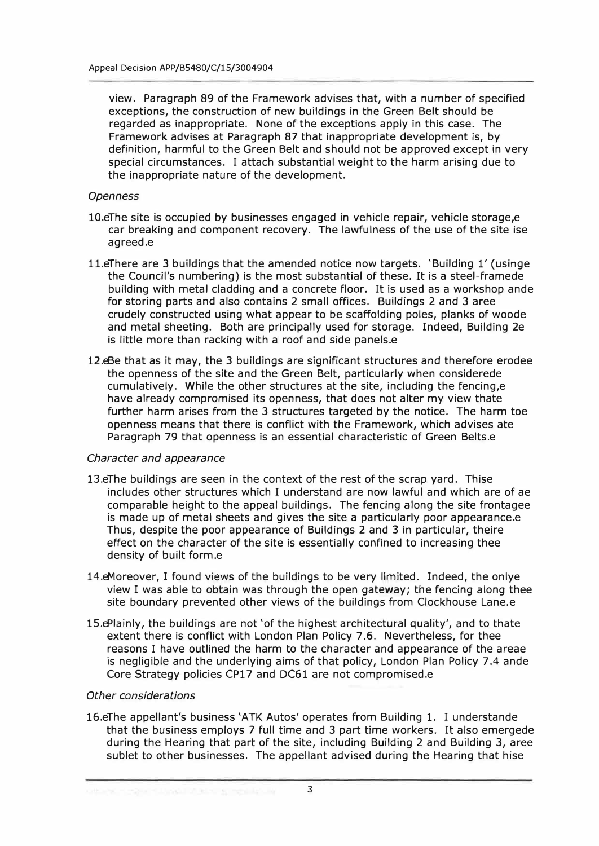view. Paragraph 89 of the Framework advises that, with a number of specified exceptions, the construction of new buildings in the Green Belt should be regarded as inappropriate. None of the exceptions apply in this case. The Framework advises at Paragraph 87 that inappropriate development is, by definition, harmful to the Green Belt and should not be approved except in very special circumstances. I attach substantial weight to the harm arising due to the inappropriate nature of the development.

#### *Openness*

- 10.eThe site is occupied by businesses engaged in vehicle repair, vehicle storage,e car breaking and component recovery. The lawfulness of the use of the site ise agreed.e
- 11.eThere are 3 buildings that the amended notice now targets. 'Building 1' (usinge the Council's numbering) is the most substantial of these. It is a steel-framede building with metal cladding and a concrete floor. It is used as a workshop ande for storing parts and also contains 2 small offices. Buildings 2 and 3 aree crudely constructed using what appear to be scaffolding poles, planks of woode and metal sheeting. Both are principally used for storage. Indeed, Building 2e is little more than racking with a roof and side panels.e
- 12.eBe that as it may, the 3 buildings are significant structures and therefore erodee the openness of the site and the Green Belt, particularly when considerede cumulatively. While the other structures at the site, including the fencing,e have already compromised its openness, that does not alter my view thate further harm arises from the 3 structures targeted by the notice. The harm toe openness means that there is conflict with the Framework, which advises ate Paragraph 79 that openness is an essential characteristic of Green Belts.e

#### *Character and appearance*

- 13.eThe buildings are seen in the context of the rest of the scrap yard. Thise includes other structures which I understand are now lawful and which are of ae comparable height to the appeal buildings. The fencing along the site frontagee is made up of metal sheets and gives the site a particularly poor appearance.e Thus, despite the poor appearance of Buildings 2 and 3 in particular, theire effect on the character of the site is essentially confined to increasing thee density of built form.e
- 14.eMoreover, I found views of the buildings to be very limited. Indeed, the onlye view I was able to obtain was through the open gateway; the fencing along thee site boundary prevented other views of the buildings from Clockhouse Lane.e
- 15.ePlainly, the buildings are not 'of the highest architectural quality', and to thate extent there is conflict with London Plan Policy 7.6. Nevertheless, for thee reasons I have outlined the harm to the character and appearance of the areae is negligible and the underlying aims of that policy, London Plan Policy 7.4 ande Core Strategy policies CP17 and DC61 are not compromised.e

#### *Other considerations*

16.eThe appellant's business 'ATK Autos' operates from Building 1. I understande that the business employs 7 full time and 3 part time workers. It also emergede during the Hearing that part of the site, including Building 2 and Building 3, aree sublet to other businesses. The appellant advised during the Hearing that hise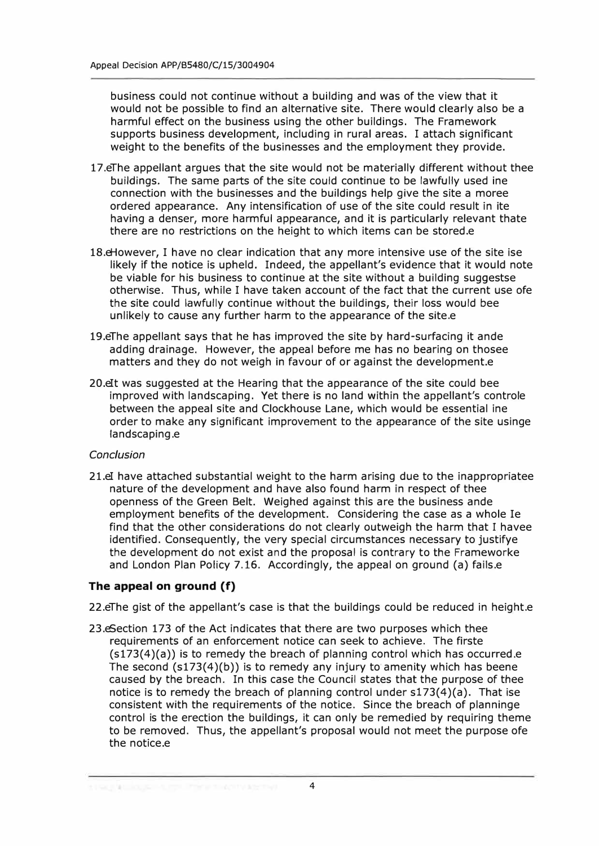business could not continue without a building and was of the view that it would not be possible to find an alternative site. There would clearly also be a harmful effect on the business using the other buildings. The Framework supports business development, including in rural areas. I attach significant weight to the benefits of the businesses and the employment they provide.

- 17.eThe appellant argues that the site would not be materially different without thee buildings. The same parts of the site could continue to be lawfully used ine connection with the businesses and the buildings help give the site a moree ordered appearance. Any intensification of use of the site could result in ite having a denser, more harmful appearance, and it is particularly relevant thate there are no restrictions on the height to which items can be stored.e
- 18.eHowever, I have no clear indication that any more intensive use of the site ise likely if the notice is upheld. Indeed, the appellant's evidence that it would note be viable for his business to continue at the site without a building suggestse otherwise. Thus, while I have taken account of the fact that the current use ofe the site could lawfully continue without the buildings, their loss would bee unlikely to cause any further harm to the appearance of the site.e
- 19.eThe appellant says that he has improved the site by hard-surfacing it ande adding drainage. However, the appeal before me has no bearing on thosee matters and they do not weigh in favour of or against the development.e
- 20.eIt was suggested at the Hearing that the appearance of the site could bee improved with landscaping. Yet there is no land within the appellant's controle between the appeal site and Clockhouse Lane, which would be essential ine order to make any significant improvement to the appearance of the site usinge landscaping.e

#### *Conclusion*

21.eI have attached substantial weight to the harm arising due to the inappropriatee nature of the development and have also found harm in respect of thee openness of the Green Belt. Weighed against this are the business ande employment benefits of the development. Considering the case as a whole Ie find that the other considerations do not clearly outweigh the harm that I havee identified. Consequently, the very special circumstances necessary to justifye the development do not exist and the proposal is contrary to the Frameworke and London Plan Policy 7.16. Accordingly, the appeal on ground (a) fails.e

#### **The appeal on ground (f)**

22.eThe gist of the appellant's case is that the buildings could be reduced in height.e

23.eSection 173 of the Act indicates that there are two purposes which thee requirements of an enforcement notice can seek to achieve. The firste (s173(4)(a)) is to remedy the breach of planning control which has occurred.e The second (s173(4)(b)) is to remedy any injury to amenity which has beene caused by the breach. In this case the Council states that the purpose of thee notice is to remedy the breach of planning control under s173(4)(a). That ise consistent with the requirements of the notice. Since the breach of planninge control is the erection the buildings, it can only be remedied by requiring theme to be removed. Thus, the appellant's proposal would not meet the purpose ofe the notice.e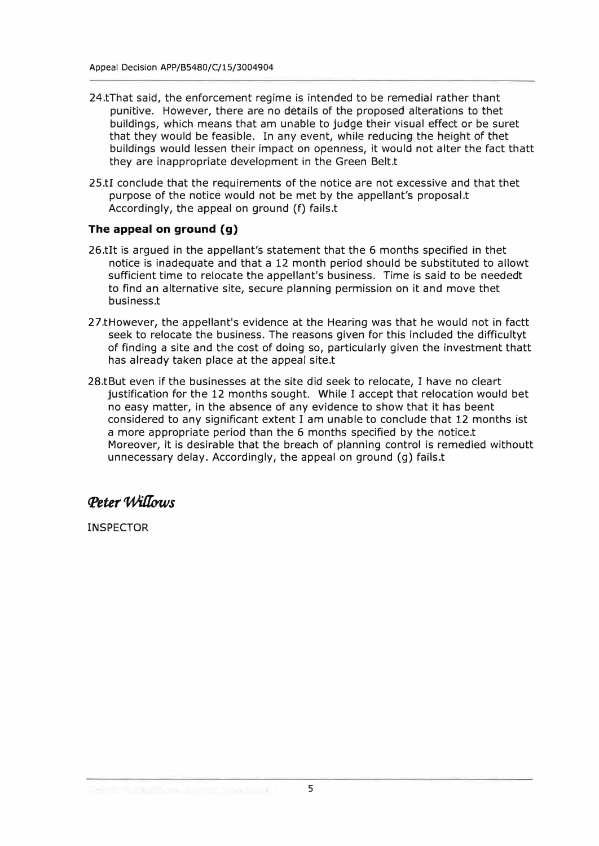- 24.tThat said, the enforcement regime is intended to be remedial rather thant punitive. However, there are no details of the proposed alterations to thet buildings, which means that am unable to judge their visual effect or be suret that they would be feasible. In any event, while reducing the height of thet buildings would lessen their impact on openness, it would not alter the fact thatt they are inappropriate development in the Green Belt.t
- 25.tI conclude that the requirements of the notice are not excessive and that thet purpose of the notice would not be met by the appellant's proposal.t Accordingly, the appeal on ground (f) fails.t

#### **The appeal on ground (g)**

- 26.tIt is argued in the appellant's statement that the 6 months specified in thet notice is inadequate and that a 12 month period should be substituted to allowt sufficient time to relocate the appellant's business. Time is said to be neededt to find an alternative site, secure planning permission on it and *move* thet business.t
- 27.tHowever, the appellant's evidence at the Hearing was that he would not in factt seek to relocate the business. The reasons given for this included the difficultyt of finding a site and the cost of doing so, particularly given the investment thatt has already taken place at the appeal site.t
- 28.tBut even if the businesses at the site did seek to relocate, I have no cleart justification for the 12 months sought. While I accept that relocation would bet no easy matter, in the absence of any evidence to show that it has beent considered to any significant extent I am unable to conclude that 12 months ist a more appropriate period than the 6 months specified by the notice.t Moreover, it is desirable that the breach of planning control is remedied withoutt unnecessary delay. Accordingly, the appeal on ground (g) fails.t

### *q>eter 'Wufows*

INSPECTOR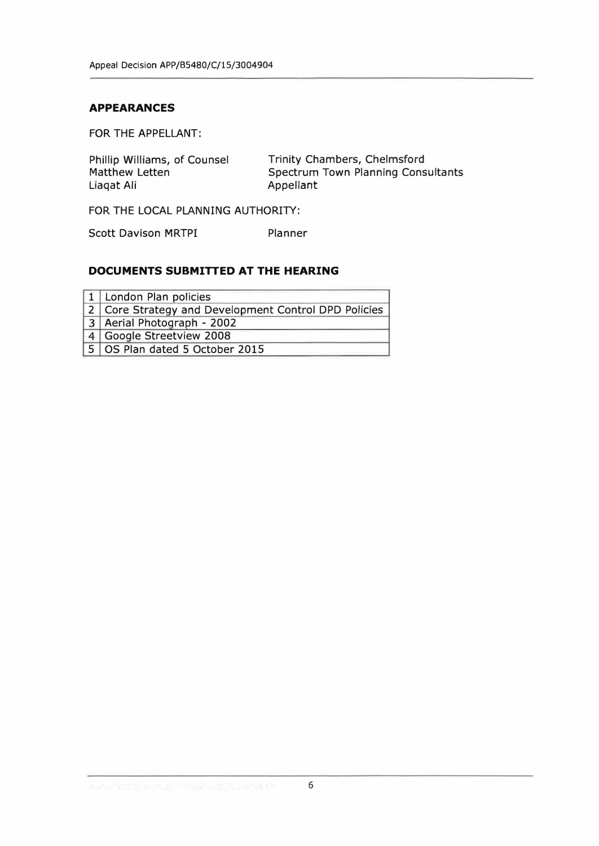#### **APPEARANCES**

FOR THE APPELLANT:

| Phillip Williams, of Counsel | Trinity Chambers, Chelmsford              |
|------------------------------|-------------------------------------------|
| Matthew Letten               | <b>Spectrum Town Planning Consultants</b> |
| Liagat Ali                   | Appellant                                 |

FOR THE LOCAL PLANNING AUTHORITY:

Scott Davison MRTPI Planner

#### **DOCUMENTS SUBMITTED AT THE HEARING**

| 1 London Plan policies                               |
|------------------------------------------------------|
| 2 Core Strategy and Development Control DPD Policies |
| 3 Aerial Photograph - 2002                           |
| 4   Google Streetview 2008                           |
| 5 OS Plan dated 5 October 2015                       |